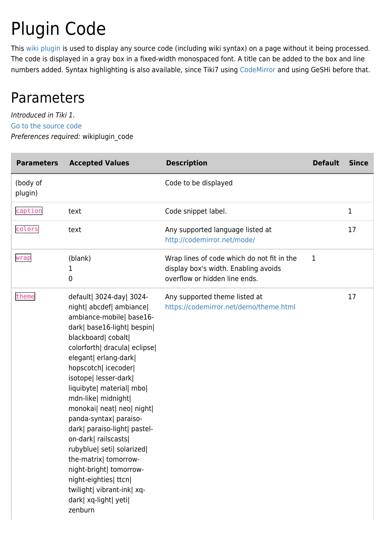# Plugin Code

This [wiki plugin](https://doc.tiki.org/wiki%20plugin) is used to display any source code (including wiki syntax) on a page without it being processed. The code is displayed in a gray box in a fixed-width monospaced font. A title can be added to the box and line numbers added. Syntax highlighting is also available, since Tiki7 using [CodeMirror](https://doc.tiki.org/CodeMirror) and using GeSHi before that.

### Parameters

Introduced in Tiki 1. [Go to the source code](https://gitlab.com/tikiwiki/tiki/-/blob/master/lib/wiki-plugins/wikiplugin_code.php) Preferences required: wikiplugin\_code

| <b>Parameters</b>   | <b>Accepted Values</b>                                                                                                                                                                                                                                                                                                                                                                                                                                                                                                                                                                             | <b>Description</b>                                                                                                  | <b>Default</b> | <b>Since</b> |
|---------------------|----------------------------------------------------------------------------------------------------------------------------------------------------------------------------------------------------------------------------------------------------------------------------------------------------------------------------------------------------------------------------------------------------------------------------------------------------------------------------------------------------------------------------------------------------------------------------------------------------|---------------------------------------------------------------------------------------------------------------------|----------------|--------------|
| (body of<br>plugin) |                                                                                                                                                                                                                                                                                                                                                                                                                                                                                                                                                                                                    | Code to be displayed                                                                                                |                |              |
| caption             | text                                                                                                                                                                                                                                                                                                                                                                                                                                                                                                                                                                                               | Code snippet label.                                                                                                 |                | $\mathbf 1$  |
| colors              | text                                                                                                                                                                                                                                                                                                                                                                                                                                                                                                                                                                                               | Any supported language listed at<br>http://codemirror.net/mode/                                                     |                | 17           |
| wrap                | (blank)<br>1<br>0                                                                                                                                                                                                                                                                                                                                                                                                                                                                                                                                                                                  | Wrap lines of code which do not fit in the<br>display box's width. Enabling avoids<br>overflow or hidden line ends. | 1              |              |
| theme               | default  3024-day  3024-<br>night  abcdef  ambiance <br>ambiance-mobile  base16-<br>dark  base16-light  bespin <br>blackboard  cobalt <br>colorforth  dracula  eclipse <br>elegant  erlang-dark <br>hopscotch  icecoder <br>isotope  lesser-dark <br>liquibyte  material  mbo <br>mdn-like  midnight <br>monokai  neat  neo  night <br>panda-syntax  paraiso-<br>dark  paraiso-light  pastel-<br>on-dark  railscasts <br>rubyblue  seti  solarized <br>the-matrix  tomorrow-<br>night-bright  tomorrow-<br>night-eighties  ttcn <br>twilight  vibrant-ink  xq-<br>dark  xq-light  yeti <br>zenburn | Any supported theme listed at<br>https://codemirror.net/demo/theme.html                                             |                | 17           |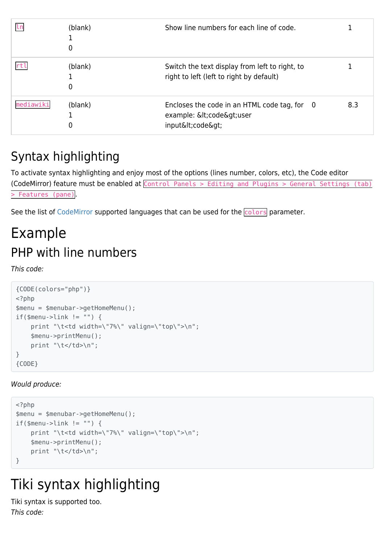| 1 n       | (blank)<br>0 | Show line numbers for each line of code.                                                          |     |
|-----------|--------------|---------------------------------------------------------------------------------------------------|-----|
|           | (blank)<br>0 | Switch the text display from left to right, to<br>right to left (left to right by default)        |     |
| mediawiki | (blank)<br>0 | Encloses the code in an HTML code tag, for 0<br>example: <code>user<br/>input<code></code></code> | 8.3 |

### Syntax highlighting

To activate syntax highlighting and enjoy most of the options (lines number, colors, etc), the Code editor (CodeMirror) feature must be enabled at Control Panels > Editing and Plugins > General Settings (tab) > Features (pane).

See the list of [CodeMirror](http://codemirror.net/mode/) supported languages that can be used for the colors parameter.

## Example PHP with line numbers

This code:

```
{CODE(colors="php")}
<?php
$menu = $menubar->getHomeMenu();
if(\text{smenu-}>\text{link}!=\text{""}) {
     print "\t<td width=\"7%\" valign=\"top\">\n";
     $menu->printMenu();
    print "\t</td>\n";
}
{CODE}
```
#### Would produce:

```
<?php
$menu = $menubar->getHomeMenu();
if(\$menu->link != "") {
     print "\t<td width=\"7%\" valign=\"top\">\n";
     $menu->printMenu();
    print "\t</td>\n";
}
```
# Tiki syntax highlighting

Tiki syntax is supported too. This code: